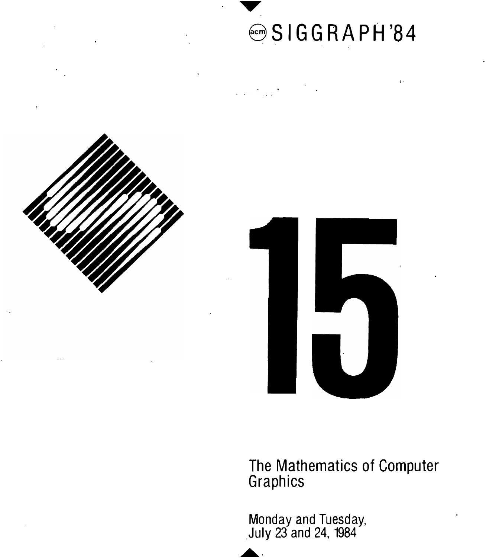

 $\bar{\mathbf{r}}$  .



 $\frac{1}{2}$ 



The Mathematics of Computer Graphics

Monday and Tuesday, \_July 23 and 24, 1984

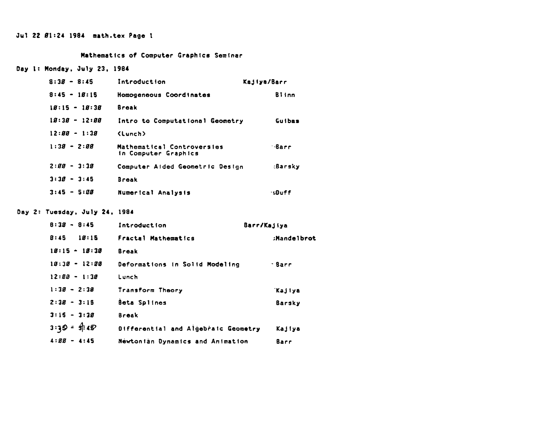## Jul 22 Bl:24 1984 math,tex Page I

#### Mathematics of Computer Craphlcs Seminar

### Day 1: Monday, July 23, 1984

| $8:38 - 8:45$   | Introduction                                       | Kajiya/Barr  |
|-----------------|----------------------------------------------------|--------------|
| $8:45 - 18:15$  | Homogeneous Coordinates                            | <b>Biinn</b> |
| $18:15 - 18:38$ | <b>Break</b>                                       |              |
| $18:38 - 12:88$ | Intro to Computational Geometry                    | Guibas       |
| $12:BB - 1:3B$  | (Lunch)                                            |              |
| $1:38 - 2:88$   | Mathematical Controversies<br>in Computer Graphics | ∴Barr        |
| $2:BB - 3:3B$   | Computer Aided Geometric Design                    | :Barsky      |
| $3:38 - 3:45$   | <b>Break</b>                                       |              |
| $3:45 - 5:88$   | Numerical Analysis                                 | ∙sDuff       |

### Day 2: Tuesday, July 24, 1984

| $8:38 - 8:45$         | Introduction                        | Barr/Kajiya   |
|-----------------------|-------------------------------------|---------------|
| $B:45$ 1 <i>B</i> :15 | Fractal Mathematics                 | :Mandelbrot   |
| $18:15 - 18:38$       | <b>Break</b>                        |               |
| $19:38 - 12:88$       | Deformations in Solid Modeling      | - Barr        |
| $12:88 - 1:38$        | Lunch                               |               |
| $1:38 - 2:38$         | Transform Theory                    | <b>Kajiya</b> |
| $2:38 - 3:15$         | Beta Splines                        | Barsky        |
| $3:15 - 3:30$         | <b>Break</b>                        |               |
| $3:35 = 9:45$         | Differential and Algebraic Geometry | Kajiya        |
| $4:BB - 4:45$         | Newtonian Dynamics and Animation    | Barr          |